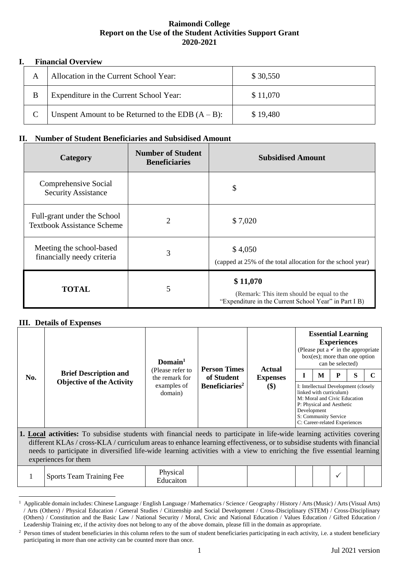## **Raimondi College Report on the Use of the Student Activities Support Grant 2020-2021**

## **I. Financial Overview**

|   | Allocation in the Current School Year:               | \$30,550 |
|---|------------------------------------------------------|----------|
| B | Expenditure in the Current School Year:              | \$11,070 |
|   | Unspent Amount to be Returned to the EDB $(A - B)$ : | \$19,480 |

## **II. Number of Student Beneficiaries and Subsidised Amount**

| Category                                                         | <b>Number of Student</b><br><b>Beneficiaries</b> | <b>Subsidised Amount</b>                                                                                       |
|------------------------------------------------------------------|--------------------------------------------------|----------------------------------------------------------------------------------------------------------------|
| Comprehensive Social<br><b>Security Assistance</b>               |                                                  | \$                                                                                                             |
| Full-grant under the School<br><b>Textbook Assistance Scheme</b> | 2                                                | \$7,020                                                                                                        |
| Meeting the school-based<br>financially needy criteria           | 3                                                | \$4,050<br>(capped at 25% of the total allocation for the school year)                                         |
| <b>TOTAL</b>                                                     | 5                                                | \$11,070<br>(Remark: This item should be equal to the<br>"Expenditure in the Current School Year" in Part I B) |

## **III. Details of Expenses**

 $\overline{a}$ 

|                               |                                                                                                                          | Domain <sup>1</sup>                                          |                                                                 | <b>Actual</b>          |                                                                                                                                                                                                           |  | <b>Essential Learning</b><br><b>Experiences</b><br>(Please put a $\checkmark$ in the appropriate<br>$box(es)$ ; more than one option<br>can be selected) |   |  |  |  |  |
|-------------------------------|--------------------------------------------------------------------------------------------------------------------------|--------------------------------------------------------------|-----------------------------------------------------------------|------------------------|-----------------------------------------------------------------------------------------------------------------------------------------------------------------------------------------------------------|--|----------------------------------------------------------------------------------------------------------------------------------------------------------|---|--|--|--|--|
| No.                           | <b>Brief Description and</b><br><b>Objective of the Activity</b>                                                         | (Please refer to<br>the remark for<br>examples of<br>domain) | <b>Person Times</b><br>of Student<br>Beneficiaries <sup>2</sup> | <b>Expenses</b><br>\$) | M<br>I: Intellectual Development (closely<br>linked with curriculum)<br>M: Moral and Civic Education<br>P: Physical and Aesthetic<br>Development<br>S: Community Service<br>C: Career-related Experiences |  | D                                                                                                                                                        | S |  |  |  |  |
| $\bullet$ $\bullet$ $\bullet$ | 1. Local activities: To subsidise students with financial needs to participate in life-wide learning activities covering |                                                              |                                                                 |                        |                                                                                                                                                                                                           |  |                                                                                                                                                          |   |  |  |  |  |

different KLAs / cross-KLA / curriculum areas to enhance learning effectiveness, or to subsidise students with financial needs to participate in diversified life-wide learning activities with a view to enriching the five essential learning experiences for them

|  | <b>Sports Team Training Fee</b> | Physical<br>:ducaiton |  |  |  |  |  |  |  |
|--|---------------------------------|-----------------------|--|--|--|--|--|--|--|
|--|---------------------------------|-----------------------|--|--|--|--|--|--|--|

<sup>1</sup> Applicable domain includes: Chinese Language / English Language / Mathematics / Science / Geography / History / Arts (Music) / Arts (Visual Arts) / Arts (Others) / Physical Education / General Studies / Citizenship and Social Development / Cross-Disciplinary (STEM) / Cross-Disciplinary (Others) / Constitution and the Basic Law / National Security / Moral, Civic and National Education / Values Education / Gifted Education / Leadership Training etc, if the activity does not belong to any of the above domain, please fill in the domain as appropriate.

<sup>&</sup>lt;sup>2</sup> Person times of student beneficiaries in this column refers to the sum of student beneficiaries participating in each activity, i.e. a student beneficiary participating in more than one activity can be counted more than once.